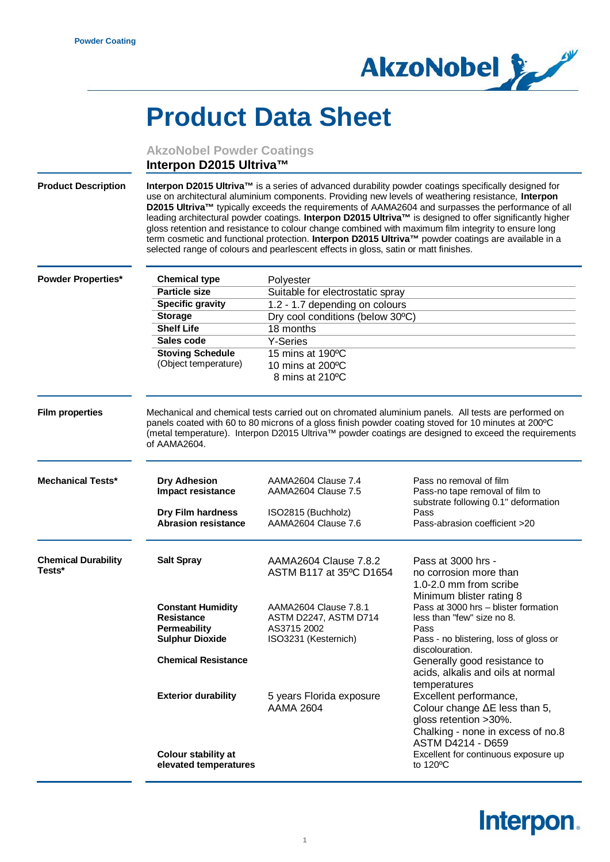

## **Product Data Sheet**

**AkzoNobel Powder Coatings**

## **Interpon D2015 Ultriva™**

**Product Description Interpon D2015 Ultriva™** is a series of advanced durability powder coatings specifically designed for use on architectural aluminium components. Providing new levels of weathering resistance, **Interpon D2015 Ultriva™** typically exceeds the requirements of AAMA2604 and surpasses the performance of all leading architectural powder coatings. **Interpon D2015 Ultriva™** is designed to offer significantly higher gloss retention and resistance to colour change combined with maximum film integrity to ensure long term cosmetic and functional protection. **Interpon D2015 Ultriva™** powder coatings are available in a selected range of colours and pearlescent effects in gloss, satin or matt finishes.

| <b>Powder Properties*</b>            | <b>Chemical type</b>                         | Polyester                                        |                                                                                                                                                                                                                                                                                                                    |
|--------------------------------------|----------------------------------------------|--------------------------------------------------|--------------------------------------------------------------------------------------------------------------------------------------------------------------------------------------------------------------------------------------------------------------------------------------------------------------------|
|                                      | <b>Particle size</b>                         | Suitable for electrostatic spray                 |                                                                                                                                                                                                                                                                                                                    |
|                                      | <b>Specific gravity</b>                      | 1.2 - 1.7 depending on colours                   |                                                                                                                                                                                                                                                                                                                    |
|                                      | <b>Storage</b>                               | Dry cool conditions (below 30°C)                 |                                                                                                                                                                                                                                                                                                                    |
|                                      | <b>Shelf Life</b>                            | 18 months                                        |                                                                                                                                                                                                                                                                                                                    |
|                                      | Sales code                                   | <b>Y-Series</b>                                  |                                                                                                                                                                                                                                                                                                                    |
|                                      | <b>Stoving Schedule</b>                      | 15 mins at 190°C                                 |                                                                                                                                                                                                                                                                                                                    |
|                                      | (Object temperature)                         | 10 mins at 200°C                                 |                                                                                                                                                                                                                                                                                                                    |
|                                      |                                              | 8 mins at 210°C                                  |                                                                                                                                                                                                                                                                                                                    |
| <b>Film properties</b>               | of AAMA2604.                                 |                                                  | Mechanical and chemical tests carried out on chromated aluminium panels. All tests are performed on<br>panels coated with 60 to 80 microns of a gloss finish powder coating stoved for 10 minutes at 200°C<br>(metal temperature). Interpon D2015 Ultriva™ powder coatings are designed to exceed the requirements |
| <b>Mechanical Tests*</b>             | <b>Dry Adhesion</b><br>Impact resistance     | AAMA2604 Clause 7.4<br>AAMA2604 Clause 7.5       | Pass no removal of film<br>Pass-no tape removal of film to                                                                                                                                                                                                                                                         |
|                                      |                                              |                                                  | substrate following 0.1" deformation                                                                                                                                                                                                                                                                               |
|                                      | Dry Film hardness                            | ISO2815 (Buchholz)                               | Pass                                                                                                                                                                                                                                                                                                               |
|                                      | <b>Abrasion resistance</b>                   | AAMA2604 Clause 7.6                              | Pass-abrasion coefficient >20                                                                                                                                                                                                                                                                                      |
| <b>Chemical Durability</b><br>Tests* | <b>Salt Spray</b>                            | AAMA2604 Clause 7.8.2<br>ASTM B117 at 35°C D1654 | Pass at 3000 hrs -<br>no corrosion more than<br>1.0-2.0 mm from scribe<br>Minimum blister rating 8                                                                                                                                                                                                                 |
|                                      | <b>Constant Humidity</b>                     | AAMA2604 Clause 7.8.1                            | Pass at 3000 hrs - blister formation                                                                                                                                                                                                                                                                               |
|                                      | <b>Resistance</b>                            | ASTM D2247, ASTM D714                            | less than "few" size no 8.                                                                                                                                                                                                                                                                                         |
|                                      | Permeability                                 | AS3715 2002                                      | Pass                                                                                                                                                                                                                                                                                                               |
|                                      | <b>Sulphur Dioxide</b>                       | ISO3231 (Kesternich)                             | Pass - no blistering, loss of gloss or                                                                                                                                                                                                                                                                             |
|                                      | <b>Chemical Resistance</b>                   |                                                  | discolouration.<br>Generally good resistance to<br>acids, alkalis and oils at normal<br>temperatures                                                                                                                                                                                                               |
|                                      | <b>Exterior durability</b>                   | 5 years Florida exposure<br>AAMA 2604            | Excellent performance,<br>Colour change $\Delta E$ less than 5,<br>gloss retention >30%.<br>Chalking - none in excess of no.8<br>ASTM D4214 - D659                                                                                                                                                                 |
|                                      | Colour stability at<br>elevated temperatures |                                                  | Excellent for continuous exposure up<br>to 120 °C                                                                                                                                                                                                                                                                  |

## **Interpon.**